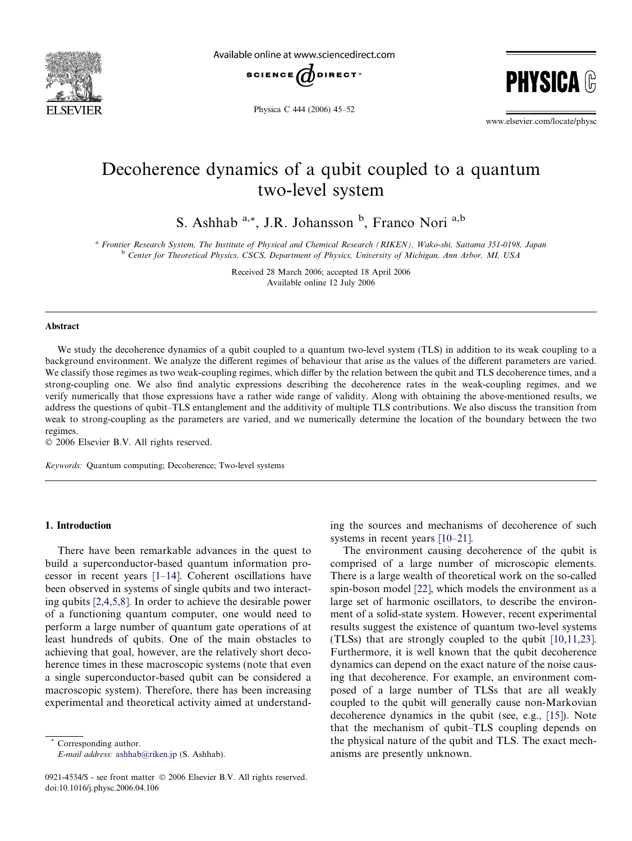

Available online at www.sciencedirect.com



Physica C 444 (2006) 45–52

www.elsevier.com/locate/physc

**PHYSIC** 

# Decoherence dynamics of a qubit coupled to a quantum two-level system

S. Ashhab <sup>a,\*</sup>, J.R. Johansson <sup>b</sup>, Franco Nori <sup>a,b</sup>

a Frontier Research System, The Institute of Physical and Chemical Research (RIKEN), Wako-shi, Saitama 351-0198, Japan <sup>b</sup> Center for Theoretical Physics, CSCS, Department of Physics, University of Michigan, Ann Arbor, MI, USA

> Received 28 March 2006; accepted 18 April 2006 Available online 12 July 2006

## Abstract

We study the decoherence dynamics of a qubit coupled to a quantum two-level system (TLS) in addition to its weak coupling to a background environment. We analyze the different regimes of behaviour that arise as the values of the different parameters are varied. We classify those regimes as two weak-coupling regimes, which differ by the relation between the qubit and TLS decoherence times, and a strong-coupling one. We also find analytic expressions describing the decoherence rates in the weak-coupling regimes, and we verify numerically that those expressions have a rather wide range of validity. Along with obtaining the above-mentioned results, we address the questions of qubit–TLS entanglement and the additivity of multiple TLS contributions. We also discuss the transition from weak to strong-coupling as the parameters are varied, and we numerically determine the location of the boundary between the two regimes.

© 2006 Elsevier B.V. All rights reserved.

Keywords: Quantum computing; Decoherence; Two-level systems

# 1. Introduction

There have been remarkable advances in the quest to build a superconductor-based quantum information processor in recent years [\[1–14\]](#page-7-0). Coherent oscillations have been observed in systems of single qubits and two interacting qubits [\[2,4,5,8\]](#page-7-0). In order to achieve the desirable power of a functioning quantum computer, one would need to perform a large number of quantum gate operations of at least hundreds of qubits. One of the main obstacles to achieving that goal, however, are the relatively short decoherence times in these macroscopic systems (note that even a single superconductor-based qubit can be considered a macroscopic system). Therefore, there has been increasing experimental and theoretical activity aimed at understand-

Corresponding author. E-mail address: [ashhab@riken.jp](mailto:ashhab@riken.jp) (S. Ashhab). ing the sources and mechanisms of decoherence of such systems in recent years [\[10–21\].](#page-7-0)

The environment causing decoherence of the qubit is comprised of a large number of microscopic elements. There is a large wealth of theoretical work on the so-called spin-boson model [\[22\],](#page-7-0) which models the environment as a large set of harmonic oscillators, to describe the environment of a solid-state system. However, recent experimental results suggest the existence of quantum two-level systems (TLSs) that are strongly coupled to the qubit [\[10,11,23\].](#page-7-0) Furthermore, it is well known that the qubit decoherence dynamics can depend on the exact nature of the noise causing that decoherence. For example, an environment composed of a large number of TLSs that are all weakly coupled to the qubit will generally cause non-Markovian decoherence dynamics in the qubit (see, e.g., [\[15\]\)](#page-7-0). Note that the mechanism of qubit–TLS coupling depends on the physical nature of the qubit and TLS. The exact mechanisms are presently unknown.

<sup>0921-4534/\$ -</sup> see front matter © 2006 Elsevier B.V. All rights reserved. doi:10.1016/j.physc.2006.04.106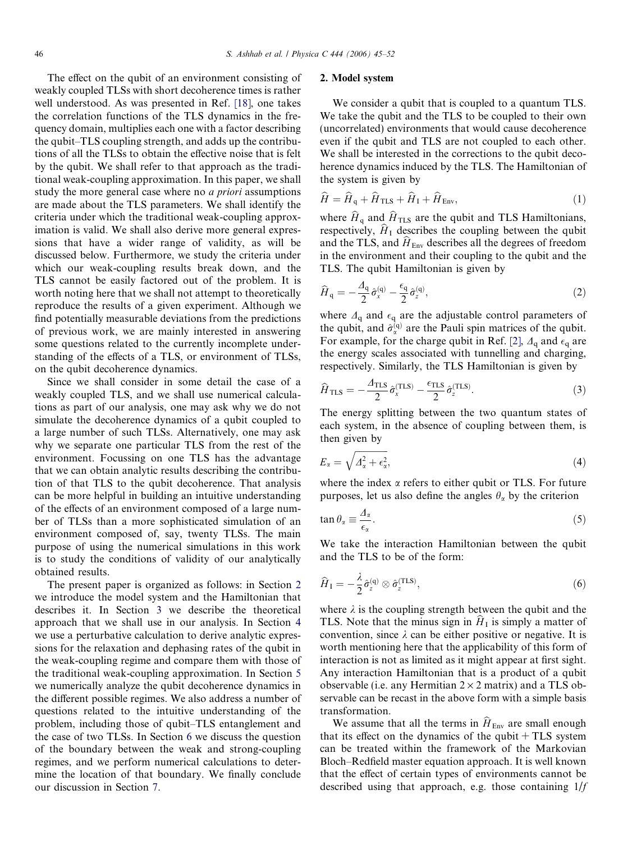<span id="page-1-0"></span>The effect on the qubit of an environment consisting of weakly coupled TLSs with short decoherence times is rather well understood. As was presented in Ref. [\[18\]](#page-7-0), one takes the correlation functions of the TLS dynamics in the frequency domain, multiplies each one with a factor describing the qubit–TLS coupling strength, and adds up the contributions of all the TLSs to obtain the effective noise that is felt by the qubit. We shall refer to that approach as the traditional weak-coupling approximation. In this paper, we shall study the more general case where no a priori assumptions are made about the TLS parameters. We shall identify the criteria under which the traditional weak-coupling approximation is valid. We shall also derive more general expressions that have a wider range of validity, as will be discussed below. Furthermore, we study the criteria under which our weak-coupling results break down, and the TLS cannot be easily factored out of the problem. It is worth noting here that we shall not attempt to theoretically reproduce the results of a given experiment. Although we find potentially measurable deviations from the predictions of previous work, we are mainly interested in answering some questions related to the currently incomplete understanding of the effects of a TLS, or environment of TLSs, on the qubit decoherence dynamics.

Since we shall consider in some detail the case of a weakly coupled TLS, and we shall use numerical calculations as part of our analysis, one may ask why we do not simulate the decoherence dynamics of a qubit coupled to a large number of such TLSs. Alternatively, one may ask why we separate one particular TLS from the rest of the environment. Focussing on one TLS has the advantage that we can obtain analytic results describing the contribution of that TLS to the qubit decoherence. That analysis can be more helpful in building an intuitive understanding of the effects of an environment composed of a large number of TLSs than a more sophisticated simulation of an environment composed of, say, twenty TLSs. The main purpose of using the numerical simulations in this work is to study the conditions of validity of our analytically obtained results.

The present paper is organized as follows: in Section 2 we introduce the model system and the Hamiltonian that describes it. In Section [3](#page-2-0) we describe the theoretical approach that we shall use in our analysis. In Section [4](#page-2-0) we use a perturbative calculation to derive analytic expressions for the relaxation and dephasing rates of the qubit in the weak-coupling regime and compare them with those of the traditional weak-coupling approximation. In Section [5](#page-3-0) we numerically analyze the qubit decoherence dynamics in the different possible regimes. We also address a number of questions related to the intuitive understanding of the problem, including those of qubit–TLS entanglement and the case of two TLSs. In Section [6](#page-6-0) we discuss the question of the boundary between the weak and strong-coupling regimes, and we perform numerical calculations to determine the location of that boundary. We finally conclude our discussion in Section [7.](#page-6-0)

# 2. Model system

We consider a qubit that is coupled to a quantum TLS. We take the qubit and the TLS to be coupled to their own (uncorrelated) environments that would cause decoherence even if the qubit and TLS are not coupled to each other. We shall be interested in the corrections to the qubit decoherence dynamics induced by the TLS. The Hamiltonian of the system is given by

$$
\widehat{H} = \widehat{H}_{\mathfrak{q}} + \widehat{H}_{\text{TLS}} + \widehat{H}_{\mathfrak{l}} + \widehat{H}_{\text{Env}},\tag{1}
$$

where  $\widehat{H}_{\text{q}}$  and  $\widehat{H}_{\text{TLS}}$  are the qubit and TLS Hamiltonians, respectively,  $\hat{H}_{I}$  describes the coupling between the qubit and the TLS, and  $\hat{H}_{Env}$  describes all the degrees of freedom in the environment and their coupling to the qubit and the TLS. The qubit Hamiltonian is given by

$$
\widehat{H}_{\mathbf{q}} = -\frac{\Delta_{\mathbf{q}}}{2} \widehat{\sigma}_{\mathbf{x}}^{(\mathbf{q})} - \frac{\epsilon_{\mathbf{q}}}{2} \widehat{\sigma}_{\mathbf{z}}^{(\mathbf{q})},\tag{2}
$$

where  $\Delta_{q}$  and  $\epsilon_{q}$  are the adjustable control parameters of the qubit, and  $\hat{\sigma}_{\alpha}^{(q)}$  are the Pauli spin matrices of the qubit. For example, for the charge qubit in Ref. [\[2\],](#page-7-0)  $\Delta_q$  and  $\epsilon_q$  are the energy scales associated with tunnelling and charging, respectively. Similarly, the TLS Hamiltonian is given by

$$
\hat{H}_{\text{TLS}} = -\frac{\Delta_{\text{TLS}}}{2} \hat{\sigma}_{x}^{(\text{TLS})} - \frac{\epsilon_{\text{TLS}}}{2} \hat{\sigma}_{z}^{(\text{TLS})}.
$$
\n(3)

The energy splitting between the two quantum states of each system, in the absence of coupling between them, is then given by

$$
E_{\alpha} = \sqrt{\varDelta_{\alpha}^2 + \epsilon_{\alpha}^2},\tag{4}
$$

where the index  $\alpha$  refers to either qubit or TLS. For future purposes, let us also define the angles  $\theta_{\alpha}$  by the criterion

$$
\tan \theta_{\alpha} \equiv \frac{\varDelta_{\alpha}}{\epsilon_{\alpha}}.\tag{5}
$$

We take the interaction Hamiltonian between the qubit and the TLS to be of the form:

$$
\widehat{H}_{\mathrm{I}} = -\frac{\lambda}{2} \hat{\sigma}_{z}^{(\mathrm{q})} \otimes \hat{\sigma}_{z}^{(\mathrm{TLS})},\tag{6}
$$

where  $\lambda$  is the coupling strength between the qubit and the TLS. Note that the minus sign in  $H<sub>I</sub>$  is simply a matter of convention, since  $\lambda$  can be either positive or negative. It is worth mentioning here that the applicability of this form of interaction is not as limited as it might appear at first sight. Any interaction Hamiltonian that is a product of a qubit observable (i.e. any Hermitian  $2 \times 2$  matrix) and a TLS observable can be recast in the above form with a simple basis transformation.

We assume that all the terms in  $\hat{H}_{Env}$  are small enough that its effect on the dynamics of the qubit  $+$  TLS system can be treated within the framework of the Markovian Bloch–Redfield master equation approach. It is well known that the effect of certain types of environments cannot be described using that approach, e.g. those containing 1/f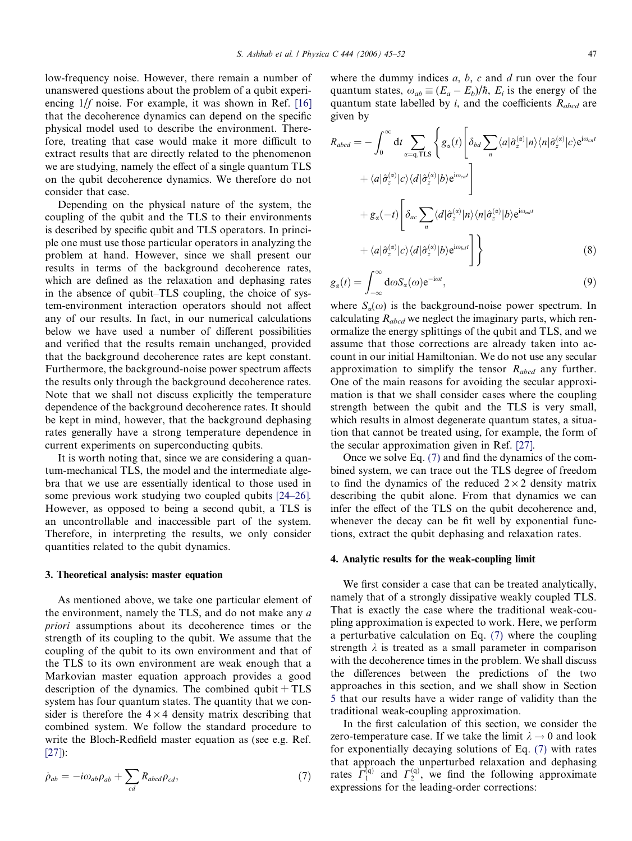<span id="page-2-0"></span>low-frequency noise. However, there remain a number of unanswered questions about the problem of a qubit experiencing  $1/f$  noise. For example, it was shown in Ref. [\[16\]](#page-7-0) that the decoherence dynamics can depend on the specific physical model used to describe the environment. Therefore, treating that case would make it more difficult to extract results that are directly related to the phenomenon we are studying, namely the effect of a single quantum TLS on the qubit decoherence dynamics. We therefore do not consider that case.

Depending on the physical nature of the system, the coupling of the qubit and the TLS to their environments is described by specific qubit and TLS operators. In principle one must use those particular operators in analyzing the problem at hand. However, since we shall present our results in terms of the background decoherence rates, which are defined as the relaxation and dephasing rates in the absence of qubit–TLS coupling, the choice of system-environment interaction operators should not affect any of our results. In fact, in our numerical calculations below we have used a number of different possibilities and verified that the results remain unchanged, provided that the background decoherence rates are kept constant. Furthermore, the background-noise power spectrum affects the results only through the background decoherence rates. Note that we shall not discuss explicitly the temperature dependence of the background decoherence rates. It should be kept in mind, however, that the background dephasing rates generally have a strong temperature dependence in current experiments on superconducting qubits.

It is worth noting that, since we are considering a quantum-mechanical TLS, the model and the intermediate algebra that we use are essentially identical to those used in some previous work studying two coupled qubits [\[24–26\].](#page-7-0) However, as opposed to being a second qubit, a TLS is an uncontrollable and inaccessible part of the system. Therefore, in interpreting the results, we only consider quantities related to the qubit dynamics.

# 3. Theoretical analysis: master equation

As mentioned above, we take one particular element of the environment, namely the TLS, and do not make any a priori assumptions about its decoherence times or the strength of its coupling to the qubit. We assume that the coupling of the qubit to its own environment and that of the TLS to its own environment are weak enough that a Markovian master equation approach provides a good description of the dynamics. The combined qubit  $+$  TLS system has four quantum states. The quantity that we consider is therefore the  $4 \times 4$  density matrix describing that combined system. We follow the standard procedure to write the Bloch-Redfield master equation as (see e.g. Ref. [\[27\]\)](#page-7-0):

$$
\dot{\rho}_{ab} = -i\omega_{ab}\rho_{ab} + \sum_{cd} R_{abcd}\rho_{cd},\tag{7}
$$

where the dummy indices  $a, b, c$  and  $d$  run over the four quantum states,  $\omega_{ab} \equiv (E_a - E_b)/\hbar$ ,  $E_i$  is the energy of the quantum state labelled by i, and the coefficients  $R_{abcd}$  are given by

$$
R_{abcd} = -\int_0^\infty dt \sum_{\alpha=q,\text{TLS}} \left\{ g_\alpha(t) \left[ \delta_{bd} \sum_n \langle a | \hat{\sigma}_z^{(\alpha)} | n \rangle \langle n | \hat{\sigma}_z^{(\alpha)} | c \rangle e^{i\omega_{cn} t} \right] \right. \\ \left. + \langle a | \hat{\sigma}_z^{(\alpha)} | c \rangle \langle d | \hat{\sigma}_z^{(\alpha)} | b \rangle e^{i\omega_{ca} t} \right] \\ \left. + g_\alpha(-t) \left[ \delta_{ac} \sum_n \langle d | \hat{\sigma}_z^{(\alpha)} | n \rangle \langle n | \hat{\sigma}_z^{(\alpha)} | b \rangle e^{i\omega_{nd} t} \right. \right. \\ \left. + \langle a | \hat{\sigma}_z^{(\alpha)} | c \rangle \langle d | \hat{\sigma}_z^{(\alpha)} | b \rangle e^{i\omega_{bd} t} \right] \right\} \tag{8}
$$

$$
g_{\alpha}(t) = \int_{-\infty}^{\infty} d\omega S_{\alpha}(\omega) e^{-i\omega t}, \qquad (9)
$$

where  $S_\alpha(\omega)$  is the background-noise power spectrum. In calculating  $R_{abcd}$  we neglect the imaginary parts, which renormalize the energy splittings of the qubit and TLS, and we assume that those corrections are already taken into account in our initial Hamiltonian. We do not use any secular approximation to simplify the tensor  $R_{abcd}$  any further. One of the main reasons for avoiding the secular approximation is that we shall consider cases where the coupling strength between the qubit and the TLS is very small, which results in almost degenerate quantum states, a situation that cannot be treated using, for example, the form of the secular approximation given in Ref. [\[27\].](#page-7-0)

Once we solve Eq. (7) and find the dynamics of the combined system, we can trace out the TLS degree of freedom to find the dynamics of the reduced  $2 \times 2$  density matrix describing the qubit alone. From that dynamics we can infer the effect of the TLS on the qubit decoherence and, whenever the decay can be fit well by exponential functions, extract the qubit dephasing and relaxation rates.

#### 4. Analytic results for the weak-coupling limit

We first consider a case that can be treated analytically, namely that of a strongly dissipative weakly coupled TLS. That is exactly the case where the traditional weak-coupling approximation is expected to work. Here, we perform a perturbative calculation on Eq. (7) where the coupling strength  $\lambda$  is treated as a small parameter in comparison with the decoherence times in the problem. We shall discuss the differences between the predictions of the two approaches in this section, and we shall show in Section [5](#page-3-0) that our results have a wider range of validity than the traditional weak-coupling approximation.

In the first calculation of this section, we consider the zero-temperature case. If we take the limit  $\lambda \rightarrow 0$  and look for exponentially decaying solutions of Eq. (7) with rates that approach the unperturbed relaxation and dephasing rates  $\Gamma_1^{(q)}$  and  $\Gamma_2^{(q)}$ , we find the following approximate expressions for the leading-order corrections: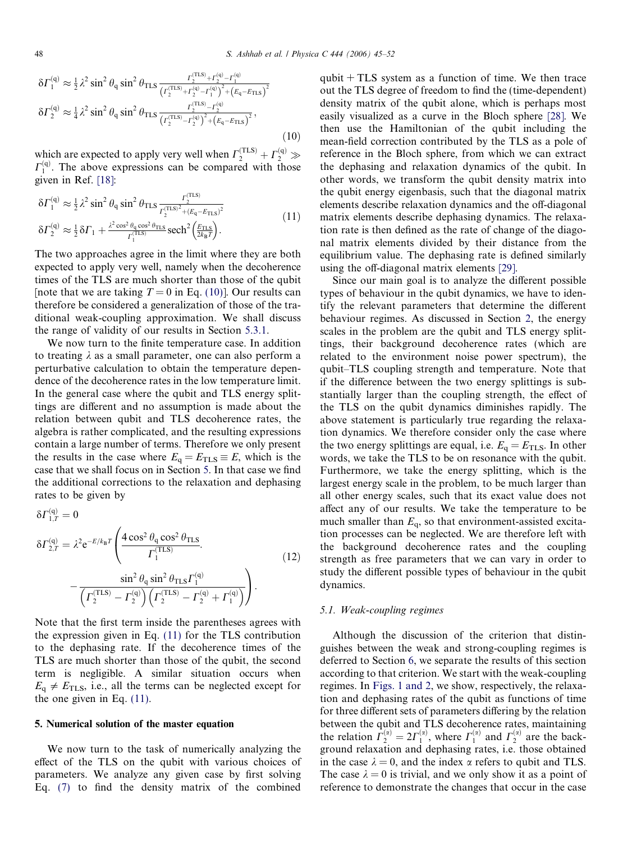<span id="page-3-0"></span>
$$
\delta\Gamma_{1}^{(q)} \approx \frac{1}{2}\lambda^{2}\sin^{2}\theta_{q}\sin^{2}\theta_{\text{TLS}}\frac{r_{2}^{(\text{TLS})}+r_{2}^{(q)}-r_{1}^{(q)}}{(r_{2}^{(\text{TLS})}+r_{2}^{(q)}-r_{1}^{(q)})^{2}+(E_{q}-E_{\text{TLS}})^{2}}
$$

$$
\delta\Gamma_{2}^{(q)} \approx \frac{1}{4}\lambda^{2}\sin^{2}\theta_{q}\sin^{2}\theta_{\text{TLS}}\frac{r_{2}^{(\text{TLS})}-r_{2}^{(q)}}{(r_{2}^{(\text{TLS})}-r_{2}^{(q)})^{2}+(E_{q}-E_{\text{TLS}})^{2}},\tag{10}
$$

which are expected to apply very well when  $\Gamma_2^{(TLS)} + \Gamma_2^{(q)} \gg$  $\Gamma_1^{(q)}$ . The above expressions can be compared with those given in Ref. [\[18\]:](#page-7-0)

$$
\delta\Gamma_1^{(q)} \approx \frac{1}{2}\lambda^2 \sin^2\theta_q \sin^2\theta_{\text{TLS}} \frac{r_2^{(\text{TLS})}}{r_2^{(\text{TLS})^2} + (\varepsilon_q - \varepsilon_{\text{TLS}})^2}
$$
  

$$
\delta\Gamma_2^{(q)} \approx \frac{1}{2}\delta\Gamma_1 + \frac{\lambda^2 \cos^2\theta_q \cos^2\theta_{\text{TLS}}}{r_1^{(\text{TLS})}} \operatorname{sech}^2\left(\frac{\varepsilon_{\text{TLS}}}{2k_{\text{B}}r}\right).
$$
 (11)

The two approaches agree in the limit where they are both expected to apply very well, namely when the decoherence times of the TLS are much shorter than those of the qubit [note that we are taking  $T = 0$  in Eq. (10)]. Our results can therefore be considered a generalization of those of the traditional weak-coupling approximation. We shall discuss the range of validity of our results in Section [5.3.1](#page-5-0).

We now turn to the finite temperature case. In addition to treating  $\lambda$  as a small parameter, one can also perform a perturbative calculation to obtain the temperature dependence of the decoherence rates in the low temperature limit. In the general case where the qubit and TLS energy splittings are different and no assumption is made about the relation between qubit and TLS decoherence rates, the algebra is rather complicated, and the resulting expressions contain a large number of terms. Therefore we only present the results in the case where  $E<sub>q</sub> = E<sub>TLS</sub> \equiv E$ , which is the case that we shall focus on in Section 5. In that case we find the additional corrections to the relaxation and dephasing rates to be given by

$$
\delta \Gamma_{1,T}^{(q)} = 0
$$
  
\n
$$
\delta \Gamma_{2,T}^{(q)} = \lambda^2 e^{-E/k_B T} \left( \frac{4 \cos^2 \theta_q \cos^2 \theta_{\text{TLS}}}{\Gamma_1^{(\text{TLS})}} \right)
$$
  
\n
$$
- \frac{\sin^2 \theta_q \sin^2 \theta_{\text{TLS}} \Gamma_1^{(q)}}{\left( \Gamma_2^{(\text{TLS})} - \Gamma_2^{(q)} \right) \left( \Gamma_2^{(\text{TLS})} - \Gamma_2^{(q)} + \Gamma_1^{(q)} \right)} \right).
$$
\n(12)

Note that the first term inside the parentheses agrees with the expression given in Eq. (11) for the TLS contribution to the dephasing rate. If the decoherence times of the TLS are much shorter than those of the qubit, the second term is negligible. A similar situation occurs when  $E_q \neq E_{TLS}$ , i.e., all the terms can be neglected except for the one given in Eq. (11).

#### 5. Numerical solution of the master equation

We now turn to the task of numerically analyzing the effect of the TLS on the qubit with various choices of parameters. We analyze any given case by first solving Eq. [\(7\)](#page-2-0) to find the density matrix of the combined

 $qubit + TLS$  system as a function of time. We then trace out the TLS degree of freedom to find the (time-dependent) density matrix of the qubit alone, which is perhaps most easily visualized as a curve in the Bloch sphere [\[28\]](#page-7-0). We then use the Hamiltonian of the qubit including the mean-field correction contributed by the TLS as a pole of reference in the Bloch sphere, from which we can extract the dephasing and relaxation dynamics of the qubit. In other words, we transform the qubit density matrix into the qubit energy eigenbasis, such that the diagonal matrix elements describe relaxation dynamics and the off-diagonal matrix elements describe dephasing dynamics. The relaxation rate is then defined as the rate of change of the diagonal matrix elements divided by their distance from the equilibrium value. The dephasing rate is defined similarly using the off-diagonal matrix elements [\[29\].](#page-7-0)

Since our main goal is to analyze the different possible types of behaviour in the qubit dynamics, we have to identify the relevant parameters that determine the different behaviour regimes. As discussed in Section [2](#page-1-0), the energy scales in the problem are the qubit and TLS energy splittings, their background decoherence rates (which are related to the environment noise power spectrum), the qubit–TLS coupling strength and temperature. Note that if the difference between the two energy splittings is substantially larger than the coupling strength, the effect of the TLS on the qubit dynamics diminishes rapidly. The above statement is particularly true regarding the relaxation dynamics. We therefore consider only the case where the two energy splittings are equal, i.e.  $E<sub>q</sub> = E<sub>TLS</sub>$ . In other words, we take the TLS to be on resonance with the qubit. Furthermore, we take the energy splitting, which is the largest energy scale in the problem, to be much larger than all other energy scales, such that its exact value does not affect any of our results. We take the temperature to be much smaller than  $E_q$ , so that environment-assisted excitation processes can be neglected. We are therefore left with the background decoherence rates and the coupling strength as free parameters that we can vary in order to study the different possible types of behaviour in the qubit dynamics.

# 5.1. Weak-coupling regimes

Although the discussion of the criterion that distinguishes between the weak and strong-coupling regimes is deferred to Section [6,](#page-6-0) we separate the results of this section according to that criterion. We start with the weak-coupling regimes. In [Figs. 1 and 2](#page-4-0), we show, respectively, the relaxation and dephasing rates of the qubit as functions of time for three different sets of parameters differing by the relation between the qubit and TLS decoherence rates, maintaining the relation  $\overline{\Gamma}_2^{(\alpha)} = 2\Gamma_1^{(\alpha)}$ , where  $\Gamma_1^{(\alpha)}$  and  $\Gamma_2^{(\alpha)}$  are the background relaxation and dephasing rates, i.e. those obtained in the case  $\lambda = 0$ , and the index  $\alpha$  refers to qubit and TLS. The case  $\lambda = 0$  is trivial, and we only show it as a point of reference to demonstrate the changes that occur in the case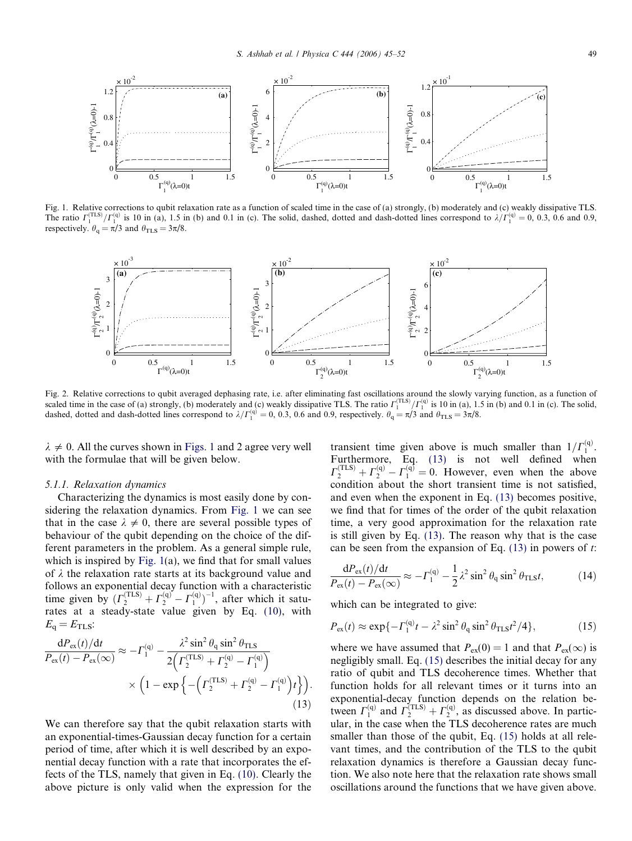<span id="page-4-0"></span>

Fig. 1. Relative corrections to qubit relaxation rate as a function of scaled time in the case of (a) strongly, (b) moderately and (c) weakly dissipative TLS. The ratio  $\Gamma_1^{(TLS)}/\Gamma_1^{(q)}$  is 10 in (a), 1.5 in (b) and 0.1 in (c). The solid, dashed, dotted and dash-dotted lines correspond to  $\lambda/\Gamma_1^{(q)} = 0$ , 0.3, 0.6 and 0.9, respectively.  $\theta_{\rm q} = \pi/3$  and  $\theta_{\rm TLS} = 3\pi/8$ .



Fig. 2. Relative corrections to qubit averaged dephasing rate, i.e. after eliminating fast oscillations around the slowly varying function, as a function of scaled time in the case of (a) strongly, (b) moderately and (c) weakly dissipative TLS. The ratio  $\Gamma_1^{(TLS)}/\Gamma_1^{(q)}$  is 10 in (a), 1.5 in (b) and 0.1 in (c). The solid, dashed, dotted and dash-dotted lines correspond to  $\lambda/\Gamma_1^{(q)} = 0$ , 0.3, 0.6 and 0.9, respectively.  $\theta_q = \pi/3$  and  $\theta_{\text{TLS}} = 3\pi/8$ .

 $\lambda \neq 0$ . All the curves shown in Figs. 1 and 2 agree very well with the formulae that will be given below.

# 5.1.1. Relaxation dynamics

Characterizing the dynamics is most easily done by considering the relaxation dynamics. From Fig. 1 we can see that in the case  $\lambda \neq 0$ , there are several possible types of behaviour of the qubit depending on the choice of the different parameters in the problem. As a general simple rule, which is inspired by Fig. 1(a), we find that for small values of  $\lambda$  the relaxation rate starts at its background value and follows an exponential decay function with a characteristic time given by  $(\Gamma_2^{\text{(TLS)}} + \Gamma_2^{\text{(q)}} - \Gamma_1^{\text{(q)}})^{-1}$ , after which it saturates at a steady-state value given by Eq. [\(10\),](#page-3-0) with  $E_{\rm q} = E_{\rm TLS}$ :

$$
\frac{dP_{\rm ex}(t)/dt}{P_{\rm ex}(t) - P_{\rm ex}(\infty)} \approx -\Gamma_1^{(q)} - \frac{\lambda^2 \sin^2 \theta_q \sin^2 \theta_{\rm TLS}}{2\left(\Gamma_2^{(\rm TLS)} + \Gamma_2^{(q)} - \Gamma_1^{(q)}\right)} \times \left(1 - \exp\left\{-\left(\Gamma_2^{(\rm TLS)} + \Gamma_2^{(q)} - \Gamma_1^{(q)}\right)t\right\}\right). \tag{13}
$$

We can therefore say that the qubit relaxation starts with an exponential-times-Gaussian decay function for a certain period of time, after which it is well described by an exponential decay function with a rate that incorporates the effects of the TLS, namely that given in Eq. [\(10\)](#page-3-0). Clearly the above picture is only valid when the expression for the

transient time given above is much smaller than  $1/\Gamma_1^{(q)}$ . Furthermore, Eq. (13) is not well defined when  $\Gamma_2^{(TLS)} + \Gamma_2^{(q)} - \Gamma_1^{(q)} = 0$ . However, even when the above condition about the short transient time is not satisfied, and even when the exponent in Eq. (13) becomes positive, we find that for times of the order of the qubit relaxation time, a very good approximation for the relaxation rate is still given by Eq. (13). The reason why that is the case can be seen from the expansion of Eq.  $(13)$  in powers of t:

$$
\frac{\mathrm{d}P_{\text{ex}}(t)/\mathrm{d}t}{P_{\text{ex}}(t) - P_{\text{ex}}(\infty)} \approx -\Gamma_1^{(q)} - \frac{1}{2}\lambda^2 \sin^2\theta_q \sin^2\theta_{\text{TLS}}t,\tag{14}
$$

which can be integrated to give:

$$
P_{\rm ex}(t) \approx \exp\{-\Gamma_1^{(\rm q)}t - \lambda^2\sin^2\theta_{\rm q}\sin^2\theta_{\rm TLS}t^2/4\},\tag{15}
$$

where we have assumed that  $P_{ex}(0) = 1$  and that  $P_{ex}(\infty)$  is negligibly small. Eq. (15) describes the initial decay for any ratio of qubit and TLS decoherence times. Whether that function holds for all relevant times or it turns into an exponential-decay function depends on the relation between  $\Gamma_1^{(q)}$  and  $\Gamma_2^{(TLS)} + \Gamma_2^{(q)}$ , as discussed above. In particular, in the case when the TLS decoherence rates are much smaller than those of the qubit, Eq. (15) holds at all relevant times, and the contribution of the TLS to the qubit relaxation dynamics is therefore a Gaussian decay function. We also note here that the relaxation rate shows small oscillations around the functions that we have given above.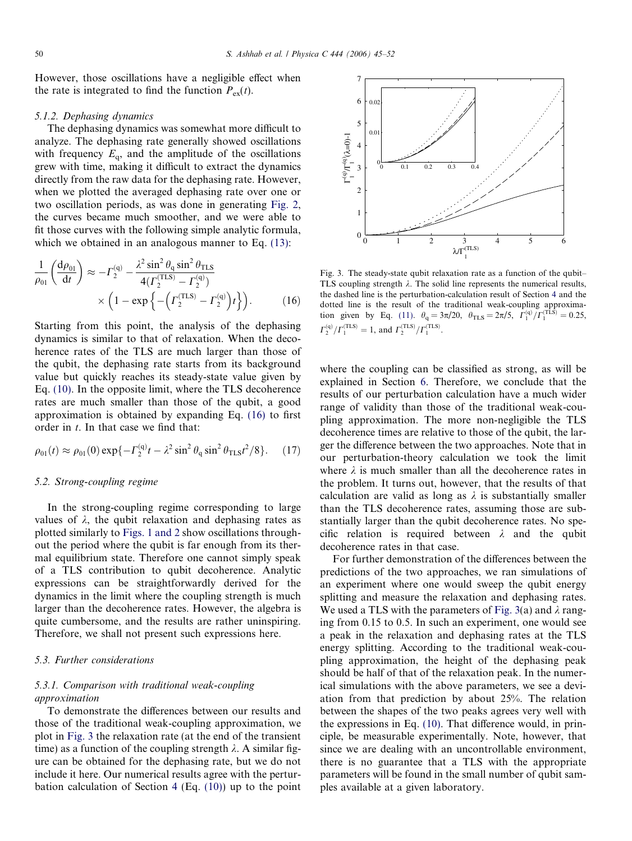<span id="page-5-0"></span>However, those oscillations have a negligible effect when the rate is integrated to find the function  $P_{ex}(t)$ .

# 5.1.2. Dephasing dynamics

The dephasing dynamics was somewhat more difficult to analyze. The dephasing rate generally showed oscillations with frequency  $E_q$ , and the amplitude of the oscillations grew with time, making it difficult to extract the dynamics directly from the raw data for the dephasing rate. However, when we plotted the averaged dephasing rate over one or two oscillation periods, as was done in generating [Fig. 2](#page-4-0), the curves became much smoother, and we were able to fit those curves with the following simple analytic formula, which we obtained in an analogous manner to Eq. [\(13\):](#page-4-0)

$$
\frac{1}{\rho_{01}} \left( \frac{d\rho_{01}}{dt} \right) \approx -\Gamma_2^{(q)} - \frac{\lambda^2 \sin^2 \theta_q \sin^2 \theta_{\text{TLS}}}{4(\Gamma_2^{(\text{TLS})} - \Gamma_2^{(q)})} \times \left( 1 - \exp \left\{ -\left( \Gamma_2^{(\text{TLS})} - \Gamma_2^{(q)} \right) t \right\} \right). \tag{16}
$$

Starting from this point, the analysis of the dephasing dynamics is similar to that of relaxation. When the decoherence rates of the TLS are much larger than those of the qubit, the dephasing rate starts from its background value but quickly reaches its steady-state value given by Eq. [\(10\)](#page-3-0). In the opposite limit, where the TLS decoherence rates are much smaller than those of the qubit, a good approximation is obtained by expanding Eq. (16) to first order in  $t$ . In that case we find that:

$$
\rho_{01}(t) \approx \rho_{01}(0) \exp\{-\Gamma_2^{(q)}t - \lambda^2 \sin^2 \theta_q \sin^2 \theta_{\text{TLS}} t^2 / 8\}. \tag{17}
$$

#### 5.2. Strong-coupling regime

In the strong-coupling regime corresponding to large values of  $\lambda$ , the qubit relaxation and dephasing rates as plotted similarly to [Figs. 1 and 2](#page-4-0) show oscillations throughout the period where the qubit is far enough from its thermal equilibrium state. Therefore one cannot simply speak of a TLS contribution to qubit decoherence. Analytic expressions can be straightforwardly derived for the dynamics in the limit where the coupling strength is much larger than the decoherence rates. However, the algebra is quite cumbersome, and the results are rather uninspiring. Therefore, we shall not present such expressions here.

# 5.3. Further considerations

# 5.3.1. Comparison with traditional weak-coupling approximation

To demonstrate the differences between our results and those of the traditional weak-coupling approximation, we plot in Fig. 3 the relaxation rate (at the end of the transient time) as a function of the coupling strength  $\lambda$ . A similar figure can be obtained for the dephasing rate, but we do not include it here. Our numerical results agree with the perturbation calculation of Section [4](#page-2-0) (Eq. [\(10\)\)](#page-3-0) up to the point



Fig. 3. The steady-state qubit relaxation rate as a function of the qubit– TLS coupling strength  $\lambda$ . The solid line represents the numerical results, the dashed line is the perturbation-calculation result of Section [4](#page-2-0) and the dotted line is the result of the traditional weak-coupling approxima-tion given by Eq. [\(11\)](#page-3-0).  $\theta_{\text{q}} = 3\pi/20$ ,  $\theta_{\text{TLS}} = 2\pi/5$ ,  $\Gamma_1^{(q)}/\Gamma_1^{(\text{TLS})} = 0.25$ ,  $\Gamma_2^{(q)}/\Gamma_1^{(TLS)} = 1$ , and  $\Gamma_2^{(TLS)}/\Gamma_1^{(TLS)}$ .

where the coupling can be classified as strong, as will be explained in Section [6](#page-6-0). Therefore, we conclude that the results of our perturbation calculation have a much wider range of validity than those of the traditional weak-coupling approximation. The more non-negligible the TLS decoherence times are relative to those of the qubit, the larger the difference between the two approaches. Note that in our perturbation-theory calculation we took the limit where  $\lambda$  is much smaller than all the decoherence rates in the problem. It turns out, however, that the results of that calculation are valid as long as  $\lambda$  is substantially smaller than the TLS decoherence rates, assuming those are substantially larger than the qubit decoherence rates. No specific relation is required between  $\lambda$  and the qubit decoherence rates in that case.

For further demonstration of the differences between the predictions of the two approaches, we ran simulations of an experiment where one would sweep the qubit energy splitting and measure the relaxation and dephasing rates. We used a TLS with the parameters of Fig. 3(a) and  $\lambda$  ranging from 0.15 to 0.5. In such an experiment, one would see a peak in the relaxation and dephasing rates at the TLS energy splitting. According to the traditional weak-coupling approximation, the height of the dephasing peak should be half of that of the relaxation peak. In the numerical simulations with the above parameters, we see a deviation from that prediction by about 25%. The relation between the shapes of the two peaks agrees very well with the expressions in Eq. [\(10\)](#page-3-0). That difference would, in principle, be measurable experimentally. Note, however, that since we are dealing with an uncontrollable environment, there is no guarantee that a TLS with the appropriate parameters will be found in the small number of qubit samples available at a given laboratory.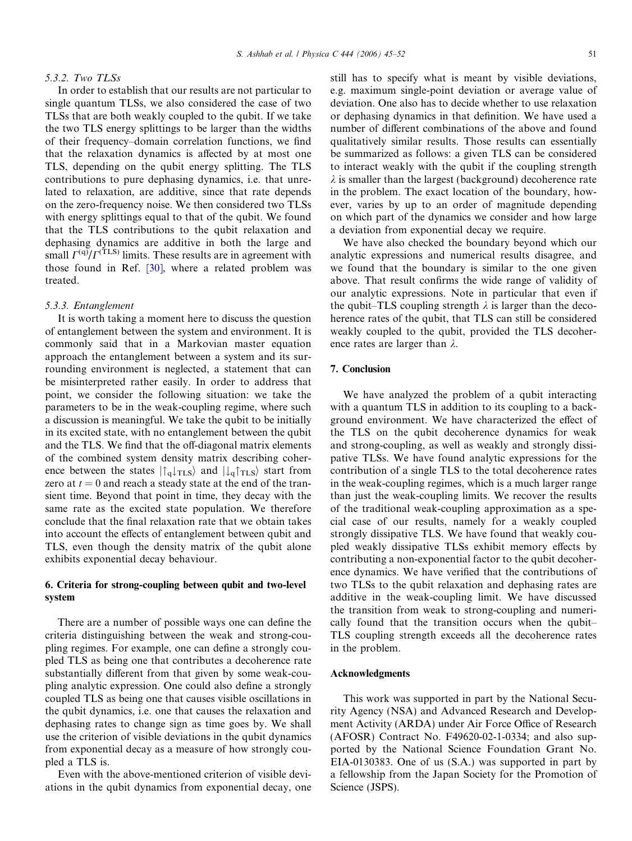#### <span id="page-6-0"></span>5.3.2. Two TLSs

In order to establish that our results are not particular to single quantum TLSs, we also considered the case of two TLSs that are both weakly coupled to the qubit. If we take the two TLS energy splittings to be larger than the widths of their frequency–domain correlation functions, we find that the relaxation dynamics is affected by at most one TLS, depending on the qubit energy splitting. The TLS contributions to pure dephasing dynamics, i.e. that unrelated to relaxation, are additive, since that rate depends on the zero-frequency noise. We then considered two TLSs with energy splittings equal to that of the qubit. We found that the TLS contributions to the qubit relaxation and dephasing dynamics are additive in both the large and small  $\Gamma^{(q)}$ / $\Gamma^{(TLS)}$  limits. These results are in agreement with those found in Ref. [\[30\]](#page-7-0), where a related problem was treated.

#### 5.3.3. Entanglement

It is worth taking a moment here to discuss the question of entanglement between the system and environment. It is commonly said that in a Markovian master equation approach the entanglement between a system and its surrounding environment is neglected, a statement that can be misinterpreted rather easily. In order to address that point, we consider the following situation: we take the parameters to be in the weak-coupling regime, where such a discussion is meaningful. We take the qubit to be initially in its excited state, with no entanglement between the qubit and the TLS. We find that the off-diagonal matrix elements of the combined system density matrix describing coherence between the states  $\left| \uparrow_q \downarrow_{\text{TLS}} \right|$  and  $\left| \downarrow_q \uparrow_{\text{TLS}} \right|$  start from zero at  $t = 0$  and reach a steady state at the end of the transient time. Beyond that point in time, they decay with the same rate as the excited state population. We therefore conclude that the final relaxation rate that we obtain takes into account the effects of entanglement between qubit and TLS, even though the density matrix of the qubit alone exhibits exponential decay behaviour.

# 6. Criteria for strong-coupling between qubit and two-level system

There are a number of possible ways one can define the criteria distinguishing between the weak and strong-coupling regimes. For example, one can define a strongly coupled TLS as being one that contributes a decoherence rate substantially different from that given by some weak-coupling analytic expression. One could also define a strongly coupled TLS as being one that causes visible oscillations in the qubit dynamics, i.e. one that causes the relaxation and dephasing rates to change sign as time goes by. We shall use the criterion of visible deviations in the qubit dynamics from exponential decay as a measure of how strongly coupled a TLS is.

Even with the above-mentioned criterion of visible deviations in the qubit dynamics from exponential decay, one still has to specify what is meant by visible deviations, e.g. maximum single-point deviation or average value of deviation. One also has to decide whether to use relaxation or dephasing dynamics in that definition. We have used a number of different combinations of the above and found qualitatively similar results. Those results can essentially be summarized as follows: a given TLS can be considered to interact weakly with the qubit if the coupling strength  $\lambda$  is smaller than the largest (background) decoherence rate in the problem. The exact location of the boundary, however, varies by up to an order of magnitude depending on which part of the dynamics we consider and how large a deviation from exponential decay we require.

We have also checked the boundary beyond which our analytic expressions and numerical results disagree, and we found that the boundary is similar to the one given above. That result confirms the wide range of validity of our analytic expressions. Note in particular that even if the qubit–TLS coupling strength  $\lambda$  is larger than the decoherence rates of the qubit, that TLS can still be considered weakly coupled to the qubit, provided the TLS decoherence rates are larger than  $\lambda$ .

## 7. Conclusion

We have analyzed the problem of a qubit interacting with a quantum TLS in addition to its coupling to a background environment. We have characterized the effect of the TLS on the qubit decoherence dynamics for weak and strong-coupling, as well as weakly and strongly dissipative TLSs. We have found analytic expressions for the contribution of a single TLS to the total decoherence rates in the weak-coupling regimes, which is a much larger range than just the weak-coupling limits. We recover the results of the traditional weak-coupling approximation as a special case of our results, namely for a weakly coupled strongly dissipative TLS. We have found that weakly coupled weakly dissipative TLSs exhibit memory effects by contributing a non-exponential factor to the qubit decoherence dynamics. We have verified that the contributions of two TLSs to the qubit relaxation and dephasing rates are additive in the weak-coupling limit. We have discussed the transition from weak to strong-coupling and numerically found that the transition occurs when the qubit– TLS coupling strength exceeds all the decoherence rates in the problem.

# Acknowledgments

This work was supported in part by the National Security Agency (NSA) and Advanced Research and Development Activity (ARDA) under Air Force Office of Research (AFOSR) Contract No. F49620-02-1-0334; and also supported by the National Science Foundation Grant No. EIA-0130383. One of us (S.A.) was supported in part by a fellowship from the Japan Society for the Promotion of Science (JSPS).